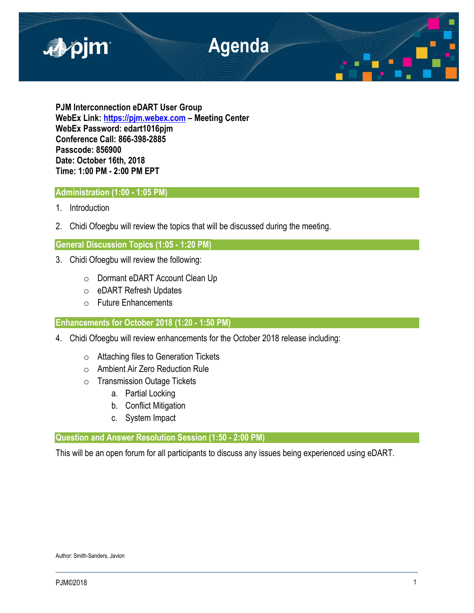

**PJM Interconnection eDART User Group WebEx Link: [https://pjm.webex.com](https://pjm.webex.com/) – Meeting Center WebEx Password: edart1016pjm Conference Call: 866-398-2885 Passcode: 856900 Date: October 16th, 2018 Time: 1:00 PM - 2:00 PM EPT**

## **Administration (1:00 - 1:05 PM)**

- 1. Introduction
- 2. Chidi Ofoegbu will review the topics that will be discussed during the meeting.

## **General Discussion Topics (1:05 - 1:20 PM)**

- 3. Chidi Ofoegbu will review the following:
	- o Dormant eDART Account Clean Up
	- o eDART Refresh Updates
	- o Future Enhancements

## **Enhancements for October 2018 (1:20 - 1:50 PM)**

- 4. Chidi Ofoegbu will review enhancements for the October 2018 release including:
	- o Attaching files to Generation Tickets
	- o Ambient Air Zero Reduction Rule
	- o Transmission Outage Tickets
		- a. Partial Locking
		- b. Conflict Mitigation
		- c. System Impact

# **Question and Answer Resolution Session (1:50 - 2:00 PM)**

This will be an open forum for all participants to discuss any issues being experienced using eDART.